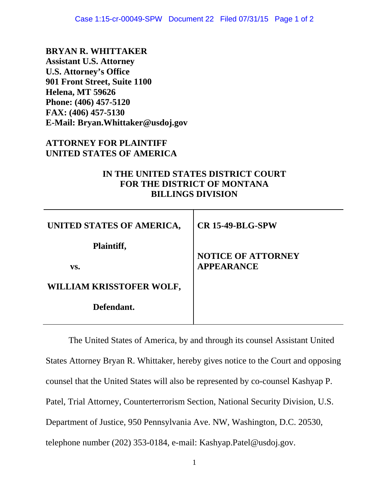**BRYAN R. WHITTAKER Assistant U.S. Attorney U.S. Attorney's Office 901 Front Street, Suite 1100 Helena, MT 59626 Phone: (406) 457-5120 FAX: (406) 457-5130 E-Mail: Bryan.Whittaker@usdoj.gov** 

## **ATTORNEY FOR PLAINTIFF UNITED STATES OF AMERICA**

## **IN THE UNITED STATES DISTRICT COURT FOR THE DISTRICT OF MONTANA BILLINGS DIVISION**

| UNITED STATES OF AMERICA, | <b>CR 15-49-BLG-SPW</b>                        |
|---------------------------|------------------------------------------------|
| Plaintiff,<br>VS.         | <b>NOTICE OF ATTORNEY</b><br><b>APPEARANCE</b> |
| WILLIAM KRISSTOFER WOLF,  |                                                |
| Defendant.                |                                                |

The United States of America, by and through its counsel Assistant United States Attorney Bryan R. Whittaker, hereby gives notice to the Court and opposing counsel that the United States will also be represented by co-counsel Kashyap P. Patel, Trial Attorney, Counterterrorism Section, National Security Division, U.S. Department of Justice, 950 Pennsylvania Ave. NW, Washington, D.C. 20530, telephone number (202) 353-0184, e-mail: Kashyap.Patel@usdoj.gov.